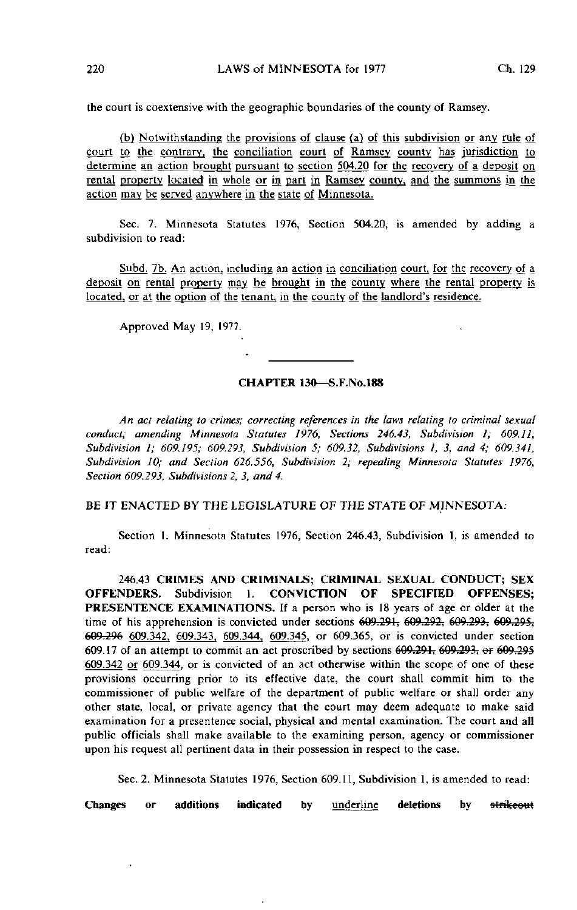the court is coextensive with the geographic boundaries of the county of Ramsey.

(b) Notwithstanding the provisions of clause (a) of this subdivision or any rule of court to the contrary, the conciliation court of Ramsey county has jurisdiction to determine an action brought pursuant to section 504.20 for the recovery of a deposit on rental property located in whole or in part in Ramsey county, and the summons in the action may be served anywhere in the state of Minnesota.

Sec. 7. Minnesota Statutes 1976, Section 504.20, is amended by adding a subdivision to read:

Subd. 7b. An action, including an action in conciliation court, for the recovery of a deposit on rental property may be brought in the county where the rental property is located, or at the option of the tenant, in the county of the landlord's residence.

Approved May 19, 1977.

## CHAPTER 130—S.F.No.188

An act relating to crimes; correcting references in the laws relating to criminal sexual conduct; amending Minnesota Statutes 1976, Sections 246.43, Subdivision 1; 609.11, Subdivision 1; 609.195; 609.293, Subdivision 5; 609.32, Subdivisions I, 3, and 4; 609.341, Subdivision JO; and Section 626.556, Subdivision 2; repealing Minnesota Statutes 1976, Section 609.293, Subdivisions 2, 3, and 4.

BE IT ENACTED BY THE LEGISLATURE OF THE STATE OF MINNESOTA:

Section I. Minnesota Statutes 1976, Section 246.43, Subdivision 1, is amended to read:

246.43 CRIMES AND CRIMINALS; CRIMINAL SEXUAL CONDUCT; SEX OFFENDERS. Subdivision 1. CONVICTION OF SPECIFIED OFFENSES; PRESENTENCE EXAMINATIONS. If a person who is 18 years of age or older at the time of his apprehension is convicted under sections  $609.291, 609.292, 609.293, 609.295$ . 609.296 609.342. 609.343. 609.344, 609.345, or 609.365, or is convicted under section 609.17 of an attempt to commit an act proscribed by sections 609.291, 609.293. er 609.295 609.342 or 609.344. or is convicted of an act otherwise within the scope of one of these provisions occurring prior to its effective date, the court shall commit him to the commissioner of public welfare of the department of public welfare or shall order any other state, local, or private agency that the court may deem adequate to make said examination for a presentence social, physical and mental examination. The court and all public officials shall make available to the examining person, agency or commissioner upon his request all pertinent data in their possession in respect to the case.

Sec. 2. Minnesota Statutes 1976, Section 609.11, Subdivision 1, is amended to read:

Changes or additions indicated by underline deletions by strikeout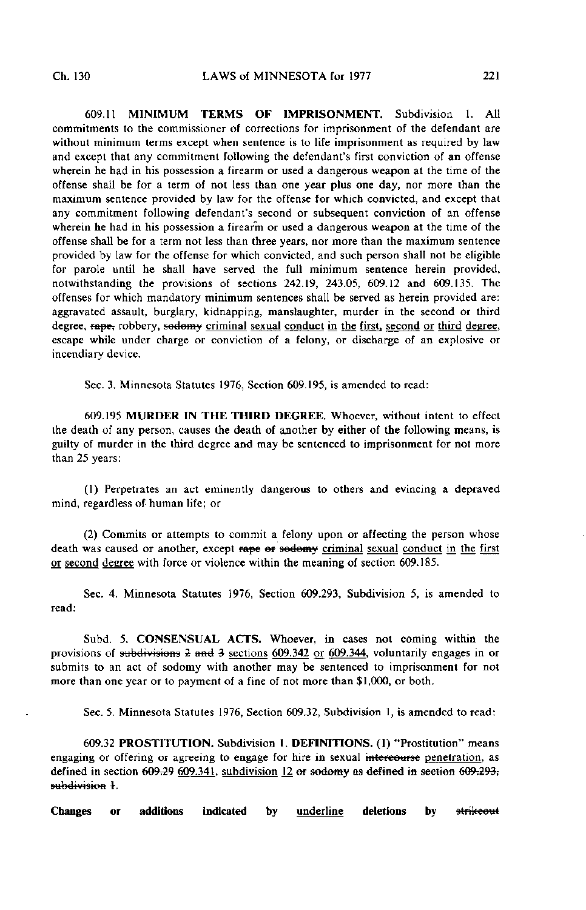609.11 MINIMUM TERMS OF IMPRISONMENT. Subdivision 1. All commitments to the commissioner of corrections for imprisonment of the defendant are without minimum terms except when sentence is to life imprisonment as required by law and except that any commitment following the defendant's first conviction of an offense wherein he had in his possession a firearm or used a dangerous weapon at the time of the offense shall be for a term of not less than one year plus one day, nor more than the maximum sentence provided by law for the offense for which convicted, and except that any commitment following defendant's second or subsequent conviction of an offense wherein he had in his possession a firearm or used a dangerous weapon at the time of the offense shall be for a term not less than three years, nor more than the maximum sentence provided by law for the offense for which convicted, and such person shall not be eligible for parole until he shall have served the full minimum sentence herein provided, notwithstanding the provisions of sections 242.19, 243.05, 609.12 and 609.135. The offenses for which mandatory minimum sentences shall be served as herein provided are: aggravated assault, burglary, kidnapping, manslaughter, murder in the second or third degree, rape, robbery, sodomy criminal sexual conduct in the first, second or third degree, escape while under charge or conviction of a felony, or discharge of an explosive or incendiary device.

Sec. 3. Minnesota Statutes 1976, Section 609.195, is amended to read:

609.195 MURDER IN THE THIRD DEGREE, Whoever, without intent to effect the death of any person, causes the death of another by either of the following means, is guilty of murder in the third degree and may be sentenced to imprisonment for not more than 25 years:

(1) Perpetrates an act eminently dangerous to others and evincing a depraved mind, regardless of human life; or

(2) Commits or attempts to commit a felony upon or affecting the person whose death was caused or another, except rape or sodomy criminal sexual conduct in the first or second degree with force or violence within the meaning of section 609.185.

Sec. 4. Minnesota Statutes 1976, Section 609.293, Subdivision 5, is amended to read:

Subd. 5. CONSENSUAL ACTS. Whoever, in cases not coming within the provisions of subdivisions  $2$  and  $3$  sections 609.342 or 609.344, voluntarily engages in or submits to an act of sodomy with another may be sentenced to imprisonment for not more than one year or to payment of a fine of not more than \$1,000, or both.

Sec. 5. Minnesota Statutes 1976, Section 609.32, Subdivision 1, is amended to read:

609.32 PROSTITUTION. Subdivision 1. DEFINITIONS. (1) "Prostitution" means engaging or offering or agreeing to engage for hire in sexual intercourse penetration, as defined in section  $609.296609.341$ , subdivision 12 er sodomy as defined in section  $609.293$ ; subdivision 4-.

Changes or additions indicated by underline deletions by strikeout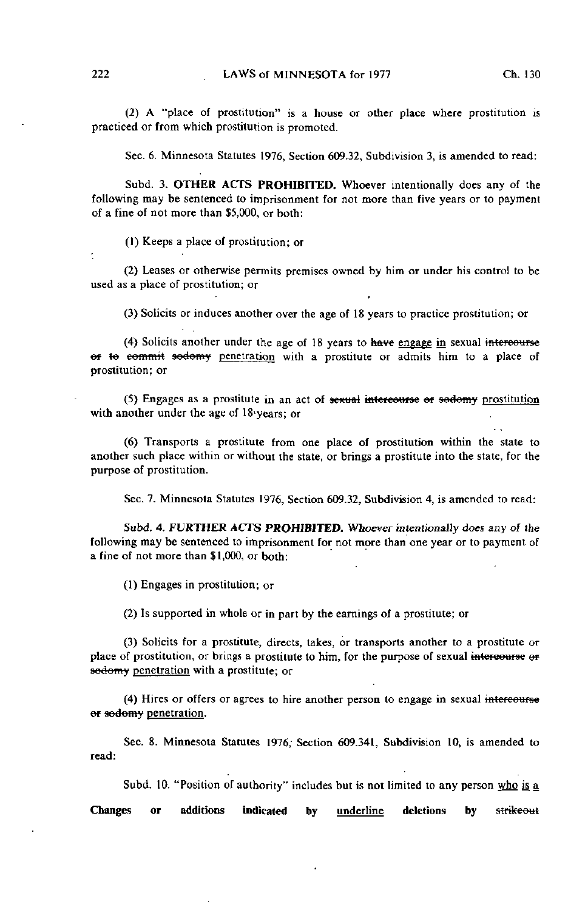(2) A "place of prostitution" is a house or other place where prostitution is practiced or from which prostitution is promoted.

Sec. 6. Minnesota Statutes 1976, Section 609.32, Subdivision 3, is amended to read:

Subd. 3. OTHER ACTS PROHIBITED. Whoever intentionally does any of the following may be sentenced to imprisonment for not more than five years or to payment of a fine of not more than \$5,000, or both:

(1) Keeps a place of prostitution; or

(2) Leases or otherwise permits premises owned by him or under his control to be used as a place of prostitution; or

(3) Solicits or induces another over the age of 18 years to practice prostitution; or

(4) Solicits another under the age of 18 years to have engage in sexual intercourse er te commit sodomy penetration with a prostitute or admits him to a place of prostitution; or

(5) Engages as a prostitute in an act of sexual intercourse ef sodomy prostitution with another under the age of 18-years; or

(6) Transports a prostitute from one place of prostitution within the state to another such place within or without the state, or brings a prostitute into the state, for the purpose of prostitution.

Sec. 7. Minnesota Statutes 1976, Section 609.32, Subdivision 4, is amended to read:

Subd. 4. FURTHER ACTS PROHIBITED. Whoever intentionally does any of Ihe following may be sentenced to imprisonment for not more than one year or to payment of a fine of not more than \$1,000, or both:

(1) Engages in prostitution; or

(2) Is supported in whole or in part by the earnings of a prostitute; or

(3) Solicits for a prostitute, directs, takes, or transports another to a prostitute or place of prostitution, or brings a prostitute to him, for the purpose of sexual intercourse or sodomy penetration with a prostitute; or

(4) Hires or offers or agrees to hire another person to engage in sexual intercourse er sedomy penetration.

Sec. 8. Minnesota Statutes 1976, Section 609.341, Subdivision 10, is amended to read:

Subd. 10. "Position of authority" includes but is not limited to any person who is a

Changes or additions indicated by underline deletions by strikeout

 $\star$